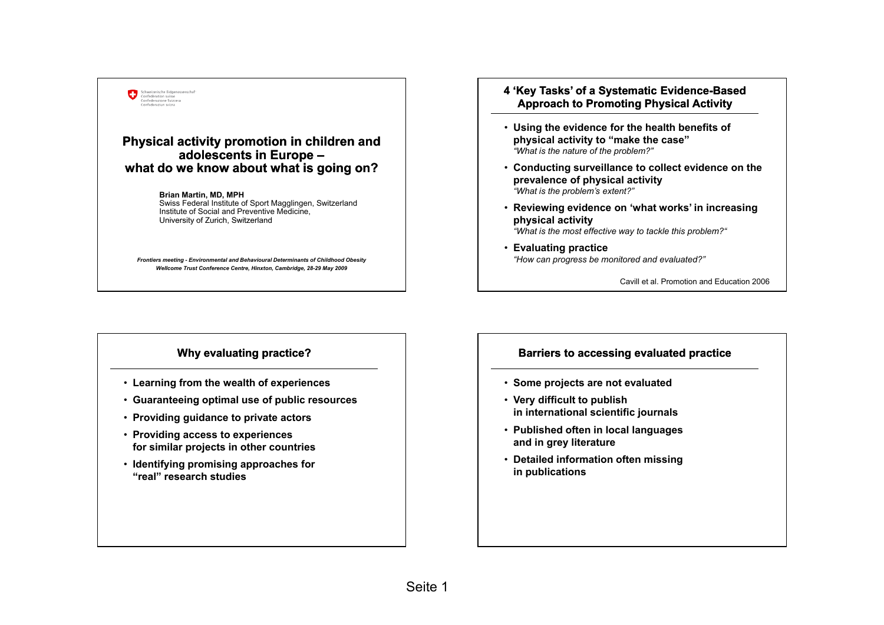

## **Physical activity promotion in children and adolescents in Europe – what do we know about what is going on? Example 20 Fix tivity promotion in children and<br>
20 Fix tivity promotion in children and<br>
20 Fix the nature of the problem?"<br>
20 Fix the nature of the problem?"<br>
20 Fix the nature of the problem?"<br>
20 Fix the nature of th**

**Brian Martin, MD, MPH** Swiss Federal Institute of Sport Magglingen, Switzerland Institute of Social and Preventive Medicine, University of Zurich Switzerland

*Frontiers meeting - Environmental and Behavioural Determinants of Childhood Obesity Wellcome Trust Conference Centre, Hinxton, Cambridge, 28-29 May 2009*

## **4 'Key Tasks' of a Systematic Evidence Evidence-Based Approach to Promoting Physical Activity**

- **physical activity to "make the case"**  *"Wh t i th t f th bl ?""What is the nature of the problem?"*
- **Conducting surveillance to collect evidence on the prevalence of physical activity** *"What is the problem's extent?"*
- **Reviewing evidence on 'what works' in increasing physical activity activity**

*"What is the most effective way to tackle this problem?"*

• **Evaluating practice**  *"How can progress be monitored and evaluated?"*

Cavill et al. Promotion and Education 2006

## **Why evaluating practice?**

- **Learning from the wealth of experiences**
- **Guaranteeing optimal use of public resources gp p**
- **Providing guidance to private actors**
- **Providing access to experiences for similar projects in other countries**
- **Identifying promising approaches for "real" research studies**

## **Barriers to accessing evaluated practice**

- **Some projects are not evaluated**
- **Very difficult to publish y p in international scientific journals**
- **Published often in local languages and in grey literature**
- **Detailed information often missing in publications**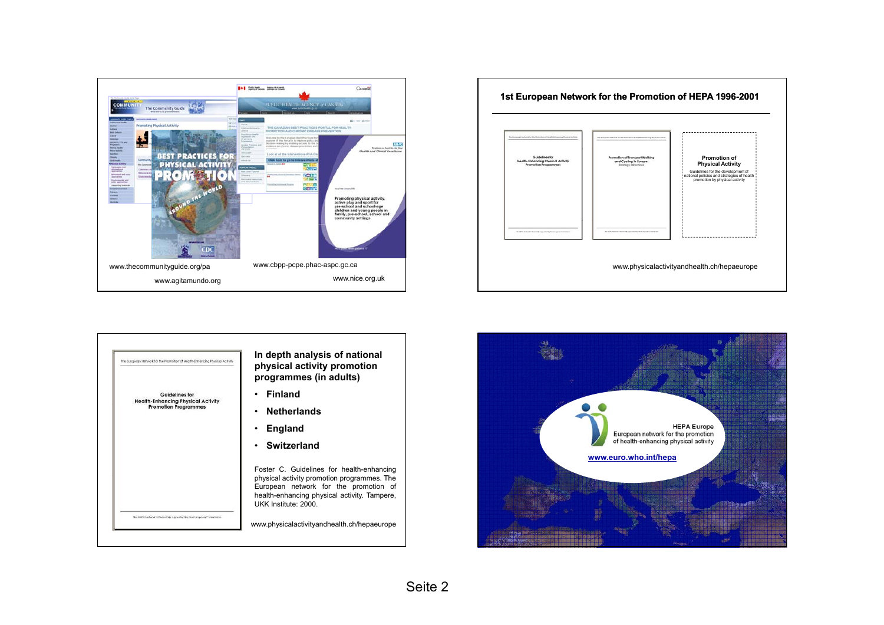





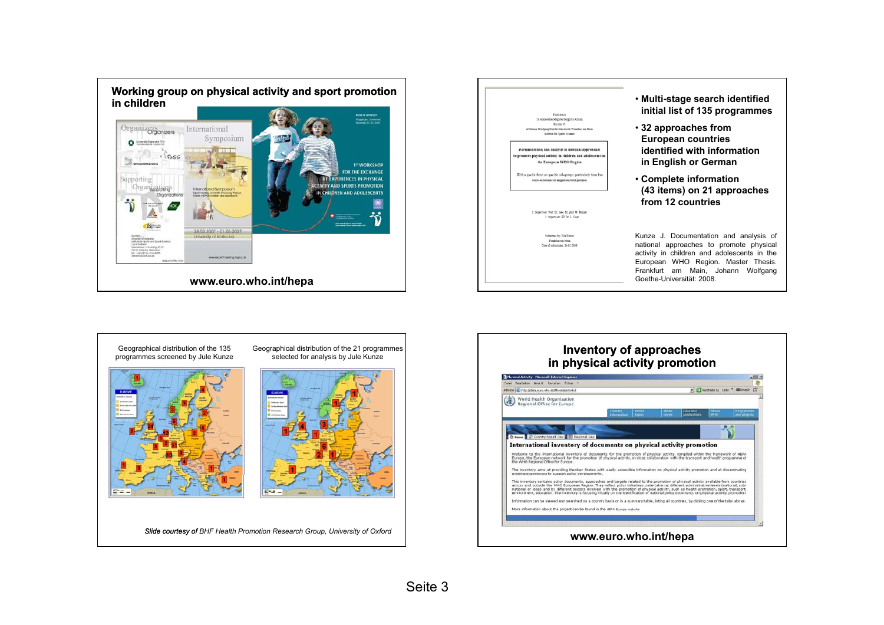



Geographical distribution of the 135 programmes screened by Jule Kunze



Geographical distribution of the 21 programmes selected for analysis by Jule Kunze



*Slide courtesy of BHF Health Promotion Research Group, University of Oxford*

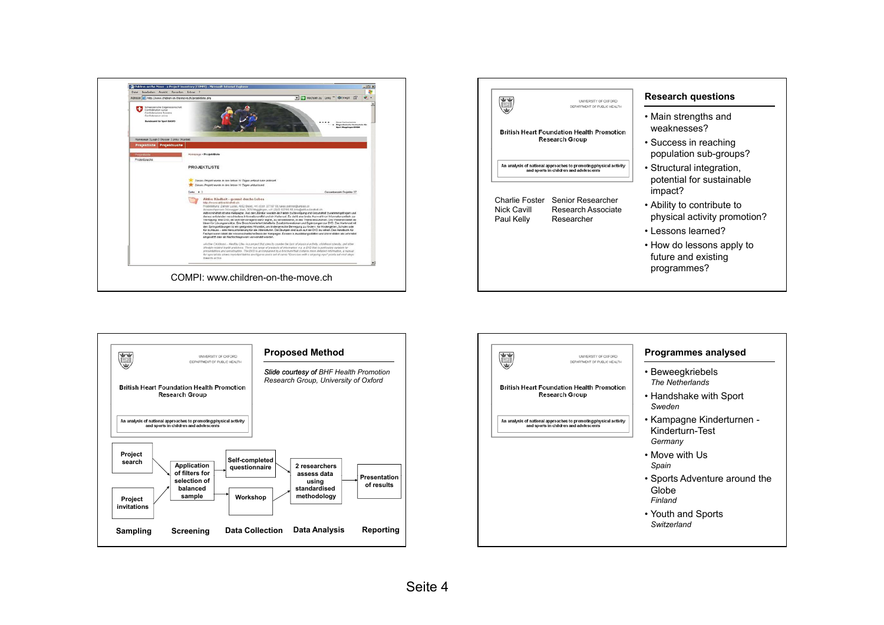





| UNIVERSITY OF OXFORD<br>DEPARTMENT OF PUBLIC HEALTH                                                         | <b>Programmes analysed</b>                              |
|-------------------------------------------------------------------------------------------------------------|---------------------------------------------------------|
| <b>British Heart Foundation Health Promotion</b><br><b>Research Group</b>                                   | • Beweegkriebels<br><b>The Netherlands</b>              |
|                                                                                                             | • Handshake with Sport<br>Sweden                        |
| An analysis of national approaches to promoting physical activity<br>and sports in children and adolescents | • Kampagne Kinderturnen -<br>Kinderturn-Test<br>Germany |
|                                                                                                             | $\bullet$ Move with Us<br>Spain                         |
|                                                                                                             | • Sports Adventure around the<br>Globe<br>Finland       |
|                                                                                                             | • Youth and Sports<br>Switzerland                       |